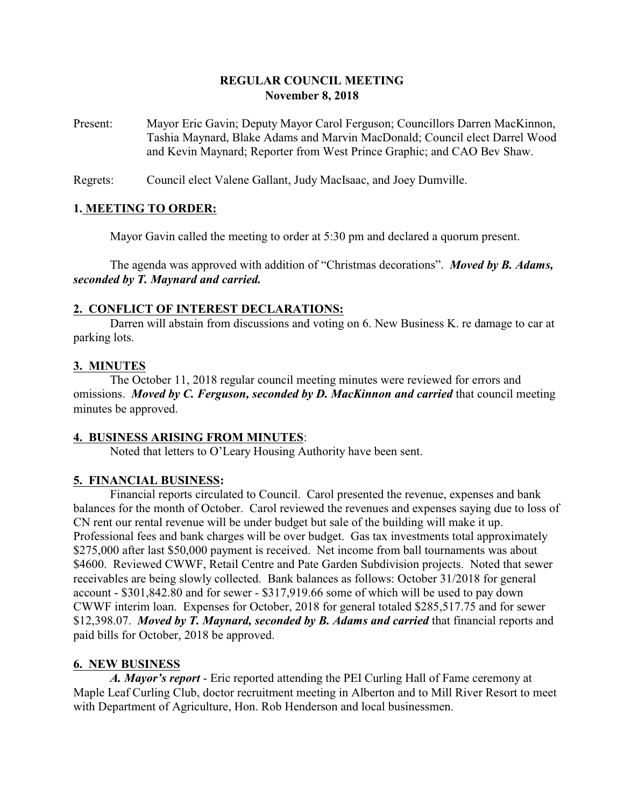## **REGULAR COUNCIL MEETING November 8, 2018**

Present: Mayor Eric Gavin; Deputy Mayor Carol Ferguson; Councillors Darren MacKinnon, Tashia Maynard, Blake Adams and Marvin MacDonald; Council elect Darrel Wood and Kevin Maynard; Reporter from West Prince Graphic; and CAO Bev Shaw.

Regrets: Council elect Valene Gallant, Judy MacIsaac, and Joey Dumville.

### **1. MEETING TO ORDER:**

Mayor Gavin called the meeting to order at 5:30 pm and declared a quorum present.

The agenda was approved with addition of "Christmas decorations". *Moved by B. Adams, seconded by T. Maynard and carried.*

#### **2. CONFLICT OF INTEREST DECLARATIONS:**

Darren will abstain from discussions and voting on 6. New Business K. re damage to car at parking lots.

#### **3. MINUTES**

The October 11, 2018 regular council meeting minutes were reviewed for errors and omissions. *Moved by C. Ferguson, seconded by D. MacKinnon and carried* that council meeting minutes be approved.

#### **4. BUSINESS ARISING FROM MINUTES**:

Noted that letters to O'Leary Housing Authority have been sent.

#### **5. FINANCIAL BUSINESS:**

Financial reports circulated to Council. Carol presented the revenue, expenses and bank balances for the month of October. Carol reviewed the revenues and expenses saying due to loss of CN rent our rental revenue will be under budget but sale of the building will make it up. Professional fees and bank charges will be over budget. Gas tax investments total approximately \$275,000 after last \$50,000 payment is received. Net income from ball tournaments was about \$4600. Reviewed CWWF, Retail Centre and Pate Garden Subdivision projects. Noted that sewer receivables are being slowly collected. Bank balances as follows: October 31/2018 for general account - \$301,842.80 and for sewer - \$317,919.66 some of which will be used to pay down CWWF interim loan. Expenses for October, 2018 for general totaled \$285,517.75 and for sewer \$12,398.07. *Moved by T. Maynard, seconded by B. Adams and carried* that financial reports and paid bills for October, 2018 be approved.

#### **6. NEW BUSINESS**

*A. Mayor's report* - Eric reported attending the PEI Curling Hall of Fame ceremony at Maple Leaf Curling Club, doctor recruitment meeting in Alberton and to Mill River Resort to meet with Department of Agriculture, Hon. Rob Henderson and local businessmen.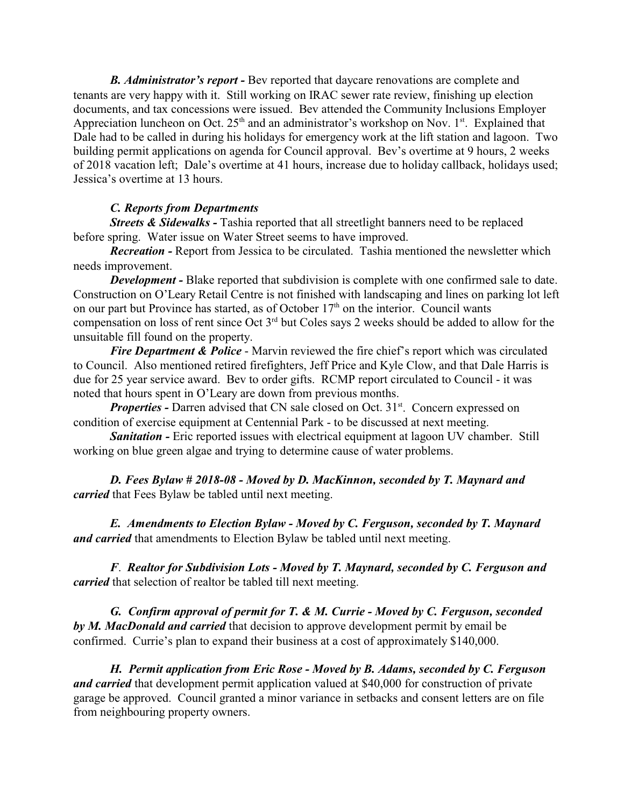*B. Administrator's report -* Bev reported that daycare renovations are complete and tenants are very happy with it. Still working on IRAC sewer rate review, finishing up election documents, and tax concessions were issued. Bev attended the Community Inclusions Employer Appreciation luncheon on Oct.  $25<sup>th</sup>$  and an administrator's workshop on Nov. 1<sup>st</sup>. Explained that Dale had to be called in during his holidays for emergency work at the lift station and lagoon. Two building permit applications on agenda for Council approval. Bev's overtime at 9 hours, 2 weeks of 2018 vacation left; Dale's overtime at 41 hours, increase due to holiday callback, holidays used; Jessica's overtime at 13 hours.

## *C. Reports from Departments*

*Streets & Sidewalks* - Tashia reported that all streetlight banners need to be replaced before spring. Water issue on Water Street seems to have improved.

*Recreation -* Report from Jessica to be circulated. Tashia mentioned the newsletter which needs improvement.

*Development* - Blake reported that subdivision is complete with one confirmed sale to date. Construction on O'Leary Retail Centre is not finished with landscaping and lines on parking lot left on our part but Province has started, as of October  $17<sup>th</sup>$  on the interior. Council wants compensation on loss of rent since Oct 3rd but Coles says 2 weeks should be added to allow for the unsuitable fill found on the property.

*Fire Department & Police* - Marvin reviewed the fire chief's report which was circulated to Council. Also mentioned retired firefighters, Jeff Price and Kyle Clow, and that Dale Harris is due for 25 year service award. Bev to order gifts. RCMP report circulated to Council - it was noted that hours spent in O'Leary are down from previous months.

*Properties - Darren advised that CN sale closed on Oct. 31<sup>st</sup>. Concern expressed on* condition of exercise equipment at Centennial Park - to be discussed at next meeting.

**Sanitation -** Eric reported issues with electrical equipment at lagoon UV chamber. Still working on blue green algae and trying to determine cause of water problems.

*D. Fees Bylaw # 2018-08 - Moved by D. MacKinnon, seconded by T. Maynard and carried* that Fees Bylaw be tabled until next meeting.

*E. Amendments to Election Bylaw - Moved by C. Ferguson, seconded by T. Maynard and carried* that amendments to Election Bylaw be tabled until next meeting.

*F*. *Realtor for Subdivision Lots - Moved by T. Maynard, seconded by C. Ferguson and carried* that selection of realtor be tabled till next meeting.

*G. Confirm approval of permit for T. & M. Currie - Moved by C. Ferguson, seconded by M. MacDonald and carried* that decision to approve development permit by email be confirmed. Currie's plan to expand their business at a cost of approximately \$140,000.

*H. Permit application from Eric Rose - Moved by B. Adams, seconded by C. Ferguson and carried* that development permit application valued at \$40,000 for construction of private garage be approved. Council granted a minor variance in setbacks and consent letters are on file from neighbouring property owners.